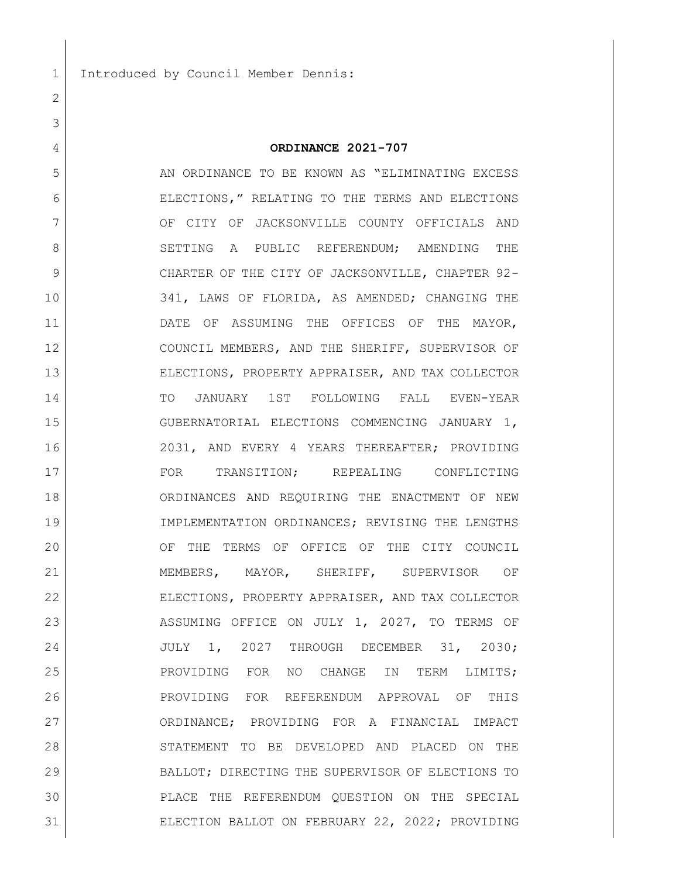1 Introduced by Council Member Dennis:

# **ORDINANCE 2021-707**

5 AN ORDINANCE TO BE KNOWN AS "ELIMINATING EXCESS" ELECTIONS," RELATING TO THE TERMS AND ELECTIONS 7 OF CITY OF JACKSONVILLE COUNTY OFFICIALS AND 8 SETTING A PUBLIC REFERENDUM; AMENDING THE 9 CHARTER OF THE CITY OF JACKSONVILLE, CHAPTER 92- 341, LAWS OF FLORIDA, AS AMENDED; CHANGING THE DATE OF ASSUMING THE OFFICES OF THE MAYOR, COUNCIL MEMBERS, AND THE SHERIFF, SUPERVISOR OF ELECTIONS, PROPERTY APPRAISER, AND TAX COLLECTOR TO JANUARY 1ST FOLLOWING FALL EVEN-YEAR GUBERNATORIAL ELECTIONS COMMENCING JANUARY 1, 2031, AND EVERY 4 YEARS THEREAFTER; PROVIDING FOR TRANSITION; REPEALING CONFLICTING ORDINANCES AND REQUIRING THE ENACTMENT OF NEW IMPLEMENTATION ORDINANCES; REVISING THE LENGTHS OF THE TERMS OF OFFICE OF THE CITY COUNCIL MEMBERS, MAYOR, SHERIFF, SUPERVISOR OF ELECTIONS, PROPERTY APPRAISER, AND TAX COLLECTOR 23 ASSUMING OFFICE ON JULY 1, 2027, TO TERMS OF JULY 1, 2027 THROUGH DECEMBER 31, 2030; PROVIDING FOR NO CHANGE IN TERM LIMITS; PROVIDING FOR REFERENDUM APPROVAL OF THIS 27 | CRDINANCE; PROVIDING FOR A FINANCIAL IMPACT STATEMENT TO BE DEVELOPED AND PLACED ON THE BALLOT; DIRECTING THE SUPERVISOR OF ELECTIONS TO PLACE THE REFERENDUM QUESTION ON THE SPECIAL ELECTION BALLOT ON FEBRUARY 22, 2022; PROVIDING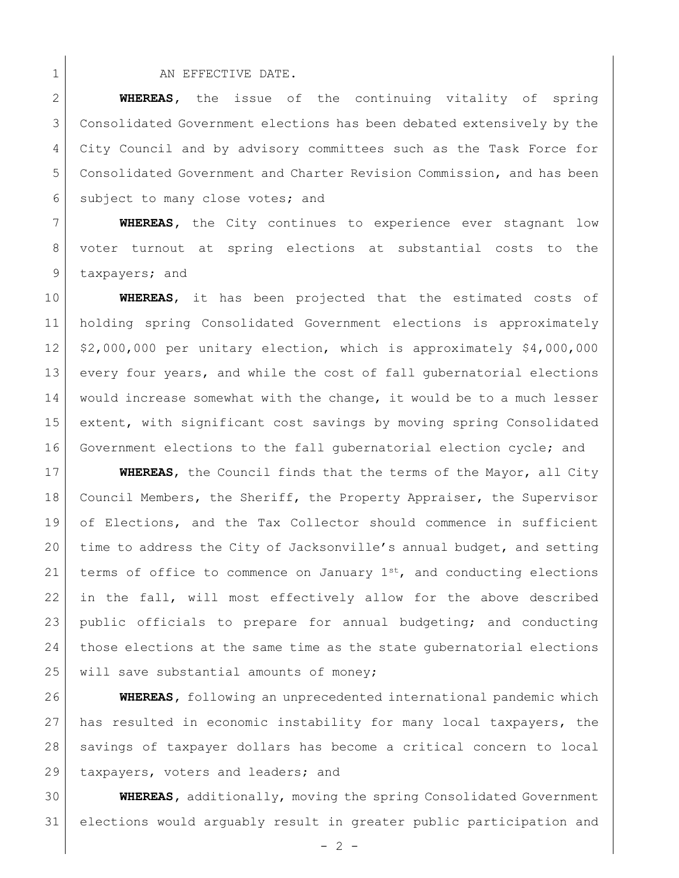#### 1 AN EFFECTIVE DATE.

 **WHEREAS,** the issue of the continuing vitality of spring Consolidated Government elections has been debated extensively by the 4 City Council and by advisory committees such as the Task Force for Consolidated Government and Charter Revision Commission, and has been 6 subject to many close votes; and

 **WHEREAS,** the City continues to experience ever stagnant low voter turnout at spring elections at substantial costs to the 9 taxpayers; and

 **WHEREAS**, it has been projected that the estimated costs of holding spring Consolidated Government elections is approximately \$2,000,000 per unitary election, which is approximately \$4,000,000 every four years, and while the cost of fall gubernatorial elections would increase somewhat with the change, it would be to a much lesser 15 extent, with significant cost savings by moving spring Consolidated Government elections to the fall gubernatorial election cycle; and

 **WHEREAS**, the Council finds that the terms of the Mayor, all City Council Members, the Sheriff, the Property Appraiser, the Supervisor of Elections, and the Tax Collector should commence in sufficient time to address the City of Jacksonville's annual budget, and setting 21 terms of office to commence on January  $1^{st}$ , and conducting elections in the fall, will most effectively allow for the above described public officials to prepare for annual budgeting; and conducting those elections at the same time as the state gubernatorial elections 25 will save substantial amounts of money;

 **WHEREAS,** following an unprecedented international pandemic which has resulted in economic instability for many local taxpayers, the savings of taxpayer dollars has become a critical concern to local 29 | taxpayers, voters and leaders; and

 **WHEREAS,** additionally, moving the spring Consolidated Government elections would arguably result in greater public participation and

 $-2 -$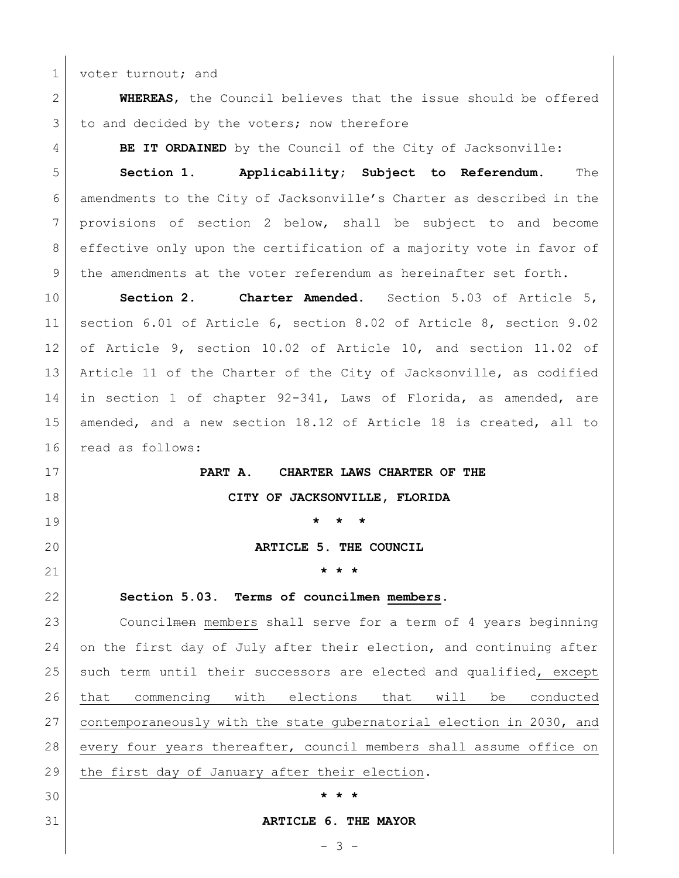1 voter turnout; and

 **WHEREAS**, the Council believes that the issue should be offered 3 to and decided by the voters; now therefore

**BE IT ORDAINED** by the Council of the City of Jacksonville:

 **Section 1. Applicability; Subject to Referendum.** The amendments to the City of Jacksonville's Charter as described in the provisions of section 2 below, shall be subject to and become effective only upon the certification of a majority vote in favor of the amendments at the voter referendum as hereinafter set forth.

 **Section 2. Charter Amended.** Section 5.03 of Article 5, section 6.01 of Article 6, section 8.02 of Article 8, section 9.02 of Article 9, section 10.02 of Article 10, and section 11.02 of Article 11 of the Charter of the City of Jacksonville, as codified in section 1 of chapter 92-341, Laws of Florida, as amended, are amended, and a new section 18.12 of Article 18 is created, all to read as follows:

 **PART A. CHARTER LAWS CHARTER OF THE CITY OF JACKSONVILLE, FLORIDA \* \* \* ARTICLE 5. THE COUNCIL \* \* \* Section 5.03. Terms of councilmen members.** 23 Councilmen members shall serve for a term of 4 years beginning on the first day of July after their election, and continuing after such term until their successors are elected and qualified, except that commencing with elections that will be conducted

 contemporaneously with the state gubernatorial election in 2030, and every four years thereafter, council members shall assume office on 29 | the first day of January after their election.

**\* \* \***

#### **ARTICLE 6. THE MAYOR**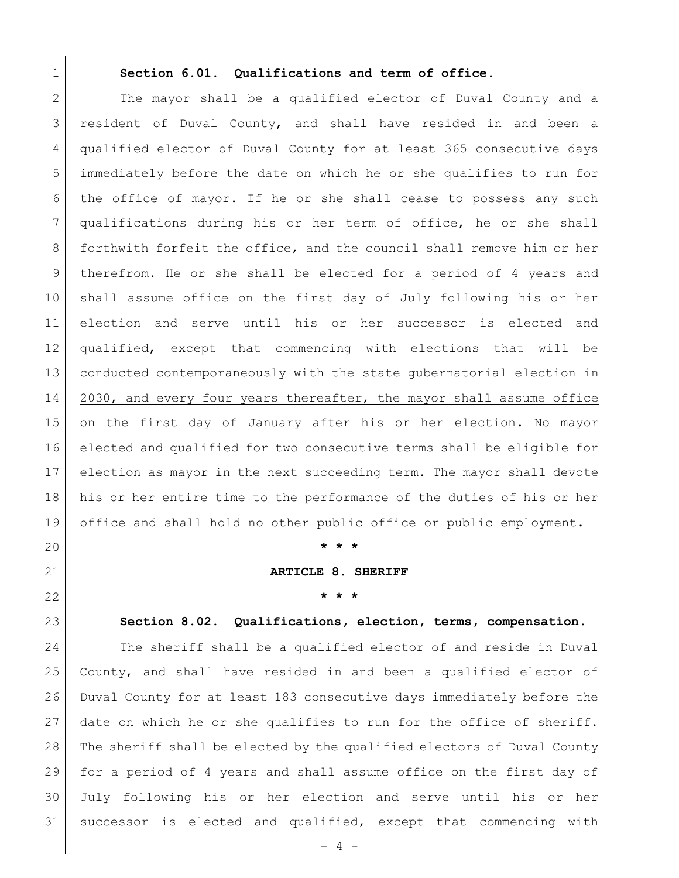#### **Section 6.01. Qualifications and term of office.**

2 The mayor shall be a qualified elector of Duval County and a resident of Duval County, and shall have resided in and been a 4 qualified elector of Duval County for at least 365 consecutive days immediately before the date on which he or she qualifies to run for the office of mayor. If he or she shall cease to possess any such qualifications during his or her term of office, he or she shall forthwith forfeit the office, and the council shall remove him or her therefrom. He or she shall be elected for a period of 4 years and shall assume office on the first day of July following his or her election and serve until his or her successor is elected and qualified, except that commencing with elections that will be conducted contemporaneously with the state gubernatorial election in 14 2030, and every four years thereafter, the mayor shall assume office on the first day of January after his or her election. No mayor elected and qualified for two consecutive terms shall be eligible for election as mayor in the next succeeding term. The mayor shall devote his or her entire time to the performance of the duties of his or her office and shall hold no other public office or public employment.

**\* \* \***

**ARTICLE 8. SHERIFF**

**\* \* \***

**Section 8.02. Qualifications, election, terms, compensation**.

 The sheriff shall be a qualified elector of and reside in Duval County, and shall have resided in and been a qualified elector of Duval County for at least 183 consecutive days immediately before the date on which he or she qualifies to run for the office of sheriff. The sheriff shall be elected by the qualified electors of Duval County for a period of 4 years and shall assume office on the first day of July following his or her election and serve until his or her successor is elected and qualified, except that commencing with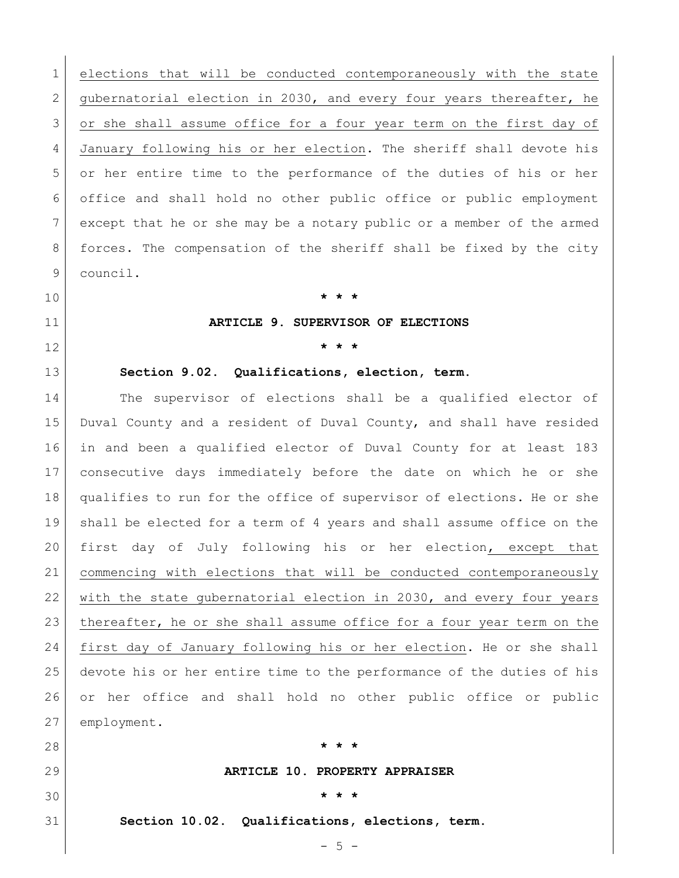elections that will be conducted contemporaneously with the state 2 gubernatorial election in 2030, and every four years thereafter, he 3 or she shall assume office for a four year term on the first day of January following his or her election. The sheriff shall devote his or her entire time to the performance of the duties of his or her office and shall hold no other public office or public employment except that he or she may be a notary public or a member of the armed forces. The compensation of the sheriff shall be fixed by the city council.

# **\* \* \***

# **ARTICLE 9. SUPERVISOR OF ELECTIONS**

**\* \* \***

**Section 9.02. Qualifications, election, term.**

 The supervisor of elections shall be a qualified elector of Duval County and a resident of Duval County, and shall have resided in and been a qualified elector of Duval County for at least 183 consecutive days immediately before the date on which he or she qualifies to run for the office of supervisor of elections. He or she shall be elected for a term of 4 years and shall assume office on the first day of July following his or her election, except that commencing with elections that will be conducted contemporaneously 22 with the state gubernatorial election in 2030, and every four years thereafter, he or she shall assume office for a four year term on the first day of January following his or her election. He or she shall devote his or her entire time to the performance of the duties of his or her office and shall hold no other public office or public employment.

 **\* \* \* ARTICLE 10. PROPERTY APPRAISER \* \* \* Section 10.02. Qualifications, elections, term.**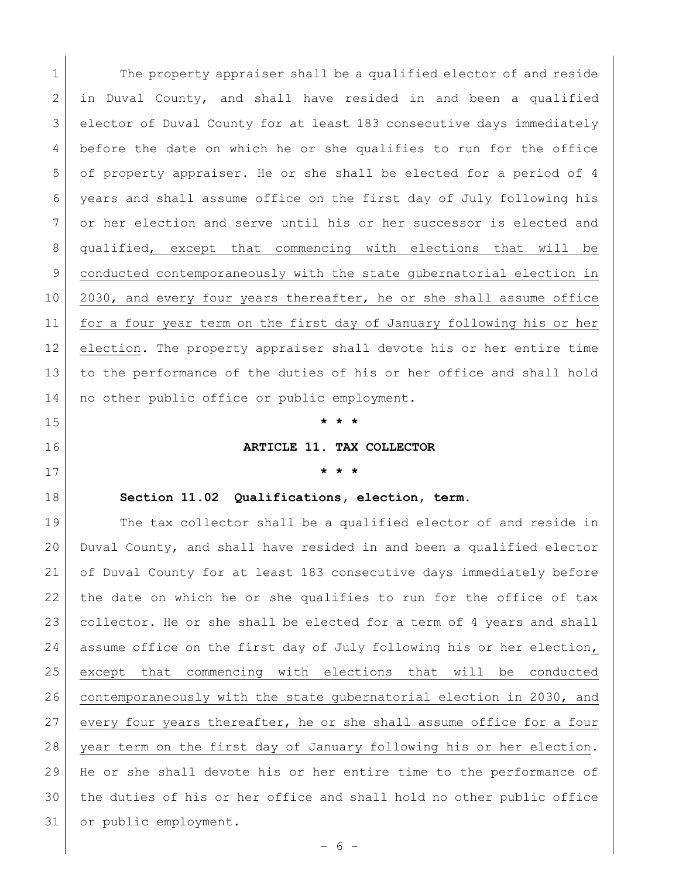1 The property appraiser shall be a qualified elector of and reside in Duval County, and shall have resided in and been a qualified elector of Duval County for at least 183 consecutive days immediately 4 before the date on which he or she qualifies to run for the office of property appraiser. He or she shall be elected for a period of 4 years and shall assume office on the first day of July following his or her election and serve until his or her successor is elected and qualified, except that commencing with elections that will be conducted contemporaneously with the state gubernatorial election in 10 2030, and every four years thereafter, he or she shall assume office for a four year term on the first day of January following his or her election. The property appraiser shall devote his or her entire time to the performance of the duties of his or her office and shall hold 14 | no other public office or public employment.

**\* \* \***

**ARTICLE 11. TAX COLLECTOR**

# **\* \* \***

#### **Section 11.02 Qualifications, election, term.**

19 The tax collector shall be a qualified elector of and reside in Duval County, and shall have resided in and been a qualified elector of Duval County for at least 183 consecutive days immediately before the date on which he or she qualifies to run for the office of tax collector. He or she shall be elected for a term of 4 years and shall assume office on the first day of July following his or her election, except that commencing with elections that will be conducted contemporaneously with the state gubernatorial election in 2030, and every four years thereafter, he or she shall assume office for a four year term on the first day of January following his or her election. He or she shall devote his or her entire time to the performance of the duties of his or her office and shall hold no other public office or public employment.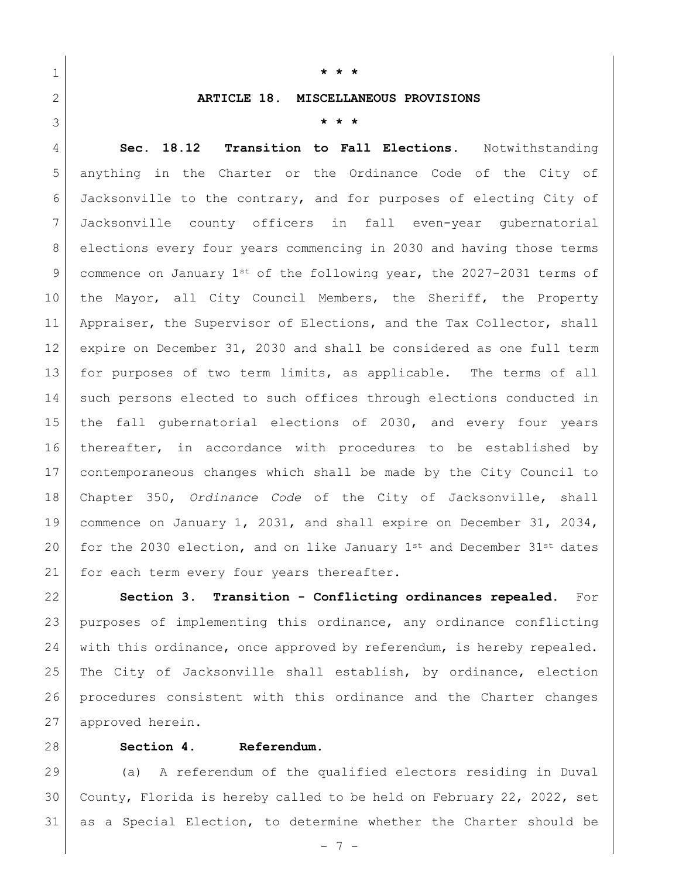**\* \* \***

### **ARTICLE 18. MISCELLANEOUS PROVISIONS**

**\* \* \***

 **Sec. 18.12 Transition to Fall Elections.** Notwithstanding anything in the Charter or the Ordinance Code of the City of Jacksonville to the contrary, and for purposes of electing City of Jacksonville county officers in fall even-year gubernatorial elections every four years commencing in 2030 and having those terms 9 commence on January  $1^{st}$  of the following year, the 2027-2031 terms of the Mayor, all City Council Members, the Sheriff, the Property 11 Appraiser, the Supervisor of Elections, and the Tax Collector, shall expire on December 31, 2030 and shall be considered as one full term for purposes of two term limits, as applicable. The terms of all 14 such persons elected to such offices through elections conducted in the fall gubernatorial elections of 2030, and every four years 16 thereafter, in accordance with procedures to be established by contemporaneous changes which shall be made by the City Council to Chapter 350, *Ordinance Code* of the City of Jacksonville, shall commence on January 1, 2031, and shall expire on December 31, 2034, 20 for the 2030 election, and on like January  $1^{st}$  and December  $31^{st}$  dates 21 for each term every four years thereafter.

 **Section 3. Transition - Conflicting ordinances repealed.** For purposes of implementing this ordinance, any ordinance conflicting with this ordinance, once approved by referendum, is hereby repealed. 25 The City of Jacksonville shall establish, by ordinance, election procedures consistent with this ordinance and the Charter changes 27 approved herein.

**Section 4. Referendum.** 

 (a) A referendum of the qualified electors residing in Duval County, Florida is hereby called to be held on February 22, 2022, set as a Special Election, to determine whether the Charter should be

- 7 -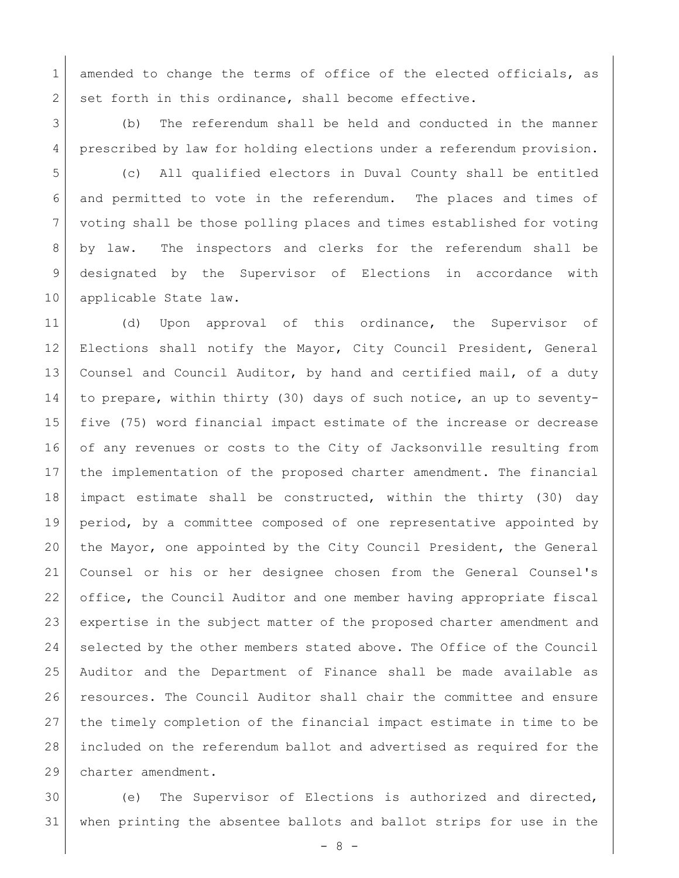1 amended to change the terms of office of the elected officials, as 2 set forth in this ordinance, shall become effective.

 (b) The referendum shall be held and conducted in the manner prescribed by law for holding elections under a referendum provision.

 (c) All qualified electors in Duval County shall be entitled and permitted to vote in the referendum. The places and times of voting shall be those polling places and times established for voting by law. The inspectors and clerks for the referendum shall be designated by the Supervisor of Elections in accordance with 10 applicable State law.

11 (d) Upon approval of this ordinance, the Supervisor of Elections shall notify the Mayor, City Council President, General Counsel and Council Auditor, by hand and certified mail, of a duty to prepare, within thirty (30) days of such notice, an up to seventy- five (75) word financial impact estimate of the increase or decrease of any revenues or costs to the City of Jacksonville resulting from the implementation of the proposed charter amendment. The financial impact estimate shall be constructed, within the thirty (30) day period, by a committee composed of one representative appointed by the Mayor, one appointed by the City Council President, the General Counsel or his or her designee chosen from the General Counsel's office, the Council Auditor and one member having appropriate fiscal expertise in the subject matter of the proposed charter amendment and 24 selected by the other members stated above. The Office of the Council Auditor and the Department of Finance shall be made available as resources. The Council Auditor shall chair the committee and ensure the timely completion of the financial impact estimate in time to be included on the referendum ballot and advertised as required for the charter amendment.

 (e) The Supervisor of Elections is authorized and directed, when printing the absentee ballots and ballot strips for use in the

- 8 -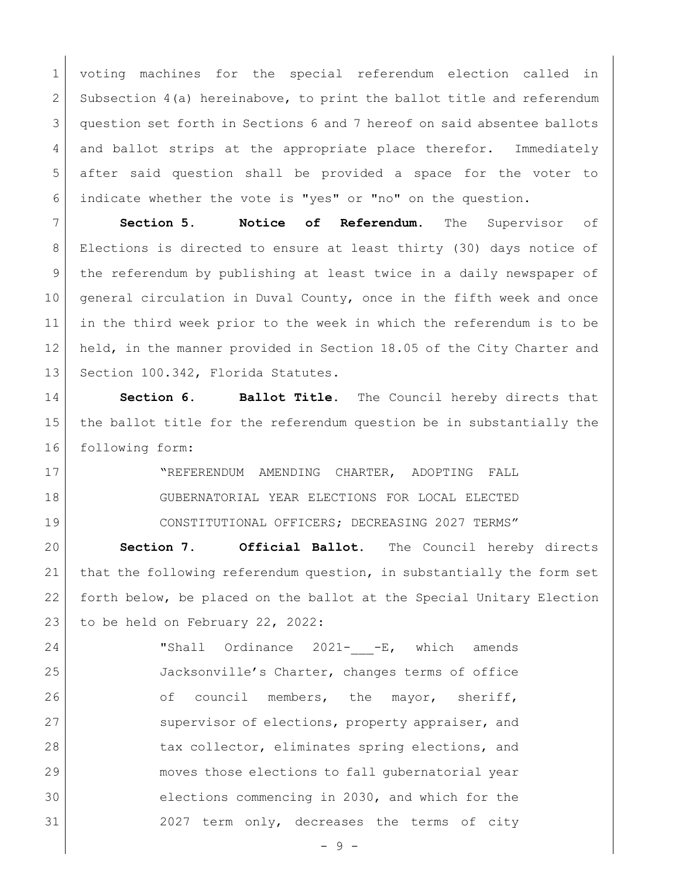voting machines for the special referendum election called in 2 Subsection 4(a) hereinabove, to print the ballot title and referendum question set forth in Sections 6 and 7 hereof on said absentee ballots 4 and ballot strips at the appropriate place therefor. Immediately after said question shall be provided a space for the voter to indicate whether the vote is "yes" or "no" on the question.

 **Section 5. Notice of Referendum.** The Supervisor of Elections is directed to ensure at least thirty (30) days notice of the referendum by publishing at least twice in a daily newspaper of general circulation in Duval County, once in the fifth week and once in the third week prior to the week in which the referendum is to be held, in the manner provided in Section 18.05 of the City Charter and 13 Section 100.342, Florida Statutes.

 **Section 6. Ballot Title.** The Council hereby directs that the ballot title for the referendum question be in substantially the 16 following form:

17 | NEFERENDUM AMENDING CHARTER, ADOPTING FALL GUBERNATORIAL YEAR ELECTIONS FOR LOCAL ELECTED CONSTITUTIONAL OFFICERS; DECREASING 2027 TERMS"

 **Section 7. Official Ballot.** The Council hereby directs that the following referendum question, in substantially the form set forth below, be placed on the ballot at the Special Unitary Election 23 to be held on February 22, 2022:

24 IShall Ordinance 2021- -E, which amends Jacksonville's Charter, changes terms of office 26 of council members, the mayor, sheriff, 27 Supervisor of elections, property appraiser, and 28 tax collector, eliminates spring elections, and moves those elections to fall gubernatorial year elections commencing in 2030, and which for the 2027 term only, decreases the terms of city

- 9 -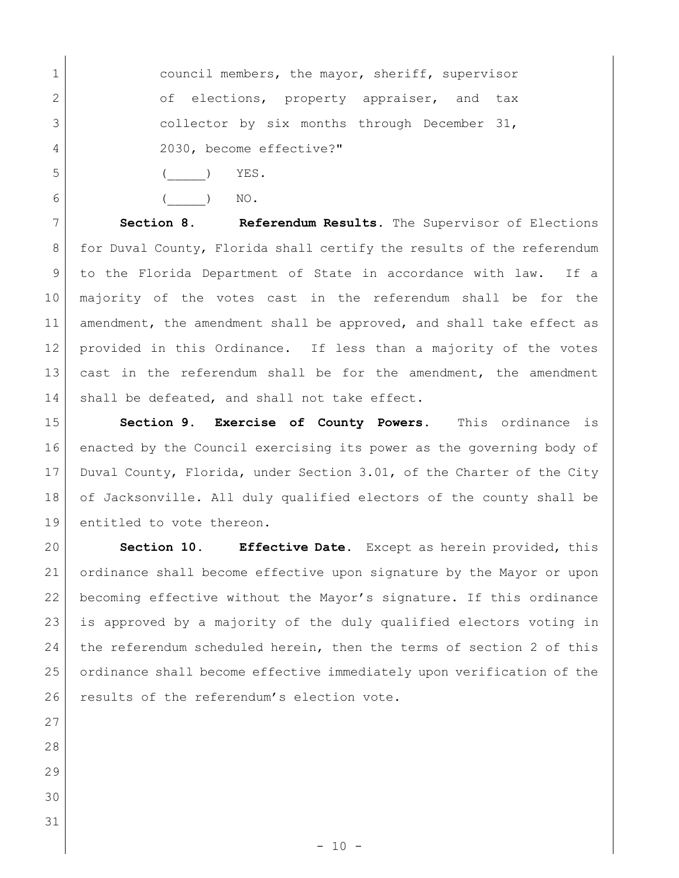- 1 council members, the mayor, sheriff, supervisor 2 of elections, property appraiser, and tax 3 collector by six months through December 31, 2030, become effective?"
- 5 ( ) YES.

6 ( ) NO.

 **Section 8. Referendum Results.** The Supervisor of Elections 8 for Duval County, Florida shall certify the results of the referendum to the Florida Department of State in accordance with law. If a majority of the votes cast in the referendum shall be for the 11 amendment, the amendment shall be approved, and shall take effect as 12 provided in this Ordinance. If less than a majority of the votes cast in the referendum shall be for the amendment, the amendment 14 shall be defeated, and shall not take effect.

 **Section 9. Exercise of County Powers.** This ordinance is enacted by the Council exercising its power as the governing body of Duval County, Florida, under Section 3.01, of the Charter of the City of Jacksonville. All duly qualified electors of the county shall be entitled to vote thereon.

 **Section 10. Effective Date.** Except as herein provided, this ordinance shall become effective upon signature by the Mayor or upon becoming effective without the Mayor's signature. If this ordinance is approved by a majority of the duly qualified electors voting in the referendum scheduled herein, then the terms of section 2 of this ordinance shall become effective immediately upon verification of the 26 results of the referendum's election vote.

- 
- 
- 
-